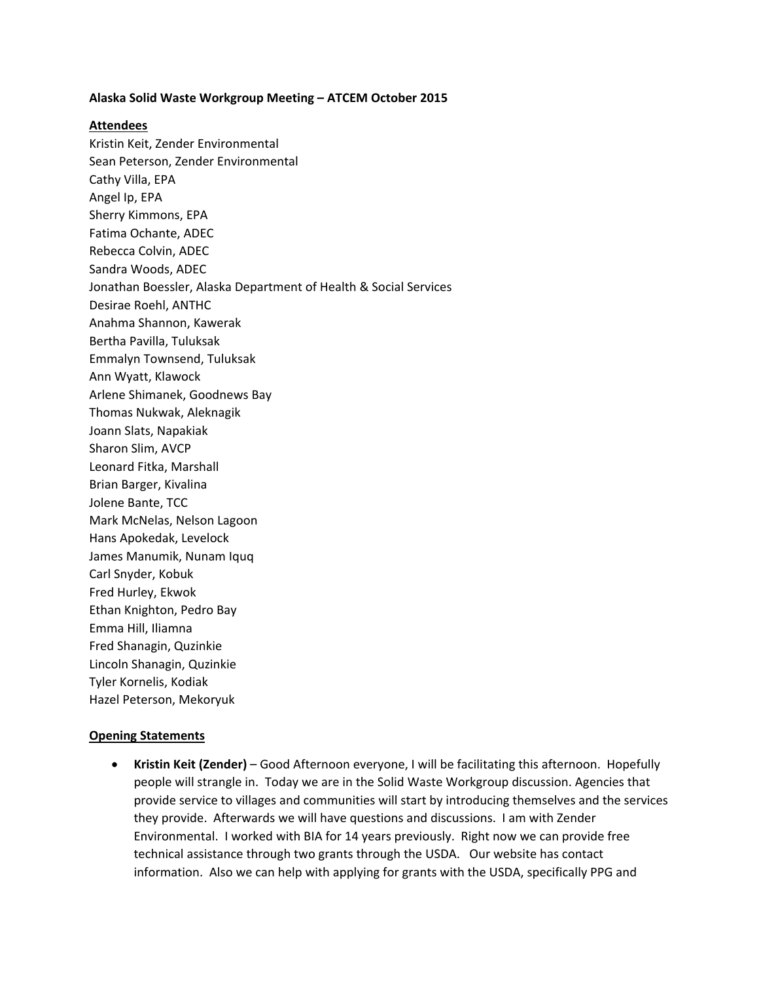## **Alaska Solid Waste Workgroup Meeting – ATCEM October 2015**

## **Attendees**

Kristin Keit, Zender Environmental Sean Peterson, Zender Environmental Cathy Villa, EPA Angel Ip, EPA Sherry Kimmons, EPA Fatima Ochante, ADEC Rebecca Colvin, ADEC Sandra Woods, ADEC Jonathan Boessler, Alaska Department of Health & Social Services Desirae Roehl, ANTHC Anahma Shannon, Kawerak Bertha Pavilla, Tuluksak Emmalyn Townsend, Tuluksak Ann Wyatt, Klawock Arlene Shimanek, Goodnews Bay Thomas Nukwak, Aleknagik Joann Slats, Napakiak Sharon Slim, AVCP Leonard Fitka, Marshall Brian Barger, Kivalina Jolene Bante, TCC Mark McNelas, Nelson Lagoon Hans Apokedak, Levelock James Manumik, Nunam Iquq Carl Snyder, Kobuk Fred Hurley, Ekwok Ethan Knighton, Pedro Bay Emma Hill, Iliamna Fred Shanagin, Quzinkie Lincoln Shanagin, Quzinkie Tyler Kornelis, Kodiak Hazel Peterson, Mekoryuk

## **Opening Statements**

 **Kristin Keit (Zender)** – Good Afternoon everyone, I will be facilitating this afternoon. Hopefully people will strangle in. Today we are in the Solid Waste Workgroup discussion. Agencies that provide service to villages and communities will start by introducing themselves and the services they provide. Afterwards we will have questions and discussions. I am with Zender Environmental. I worked with BIA for 14 years previously. Right now we can provide free technical assistance through two grants through the USDA. Our website has contact information. Also we can help with applying for grants with the USDA, specifically PPG and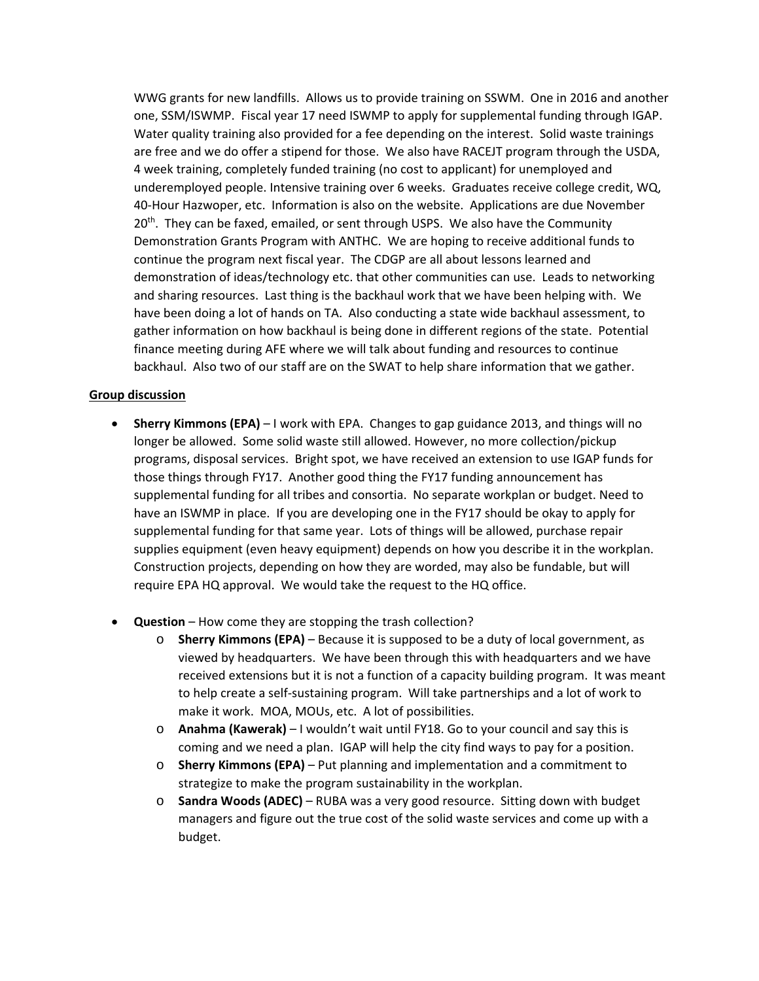WWG grants for new landfills. Allows us to provide training on SSWM. One in 2016 and another one, SSM/ISWMP. Fiscal year 17 need ISWMP to apply for supplemental funding through IGAP. Water quality training also provided for a fee depending on the interest. Solid waste trainings are free and we do offer a stipend for those. We also have RACEJT program through the USDA, 4 week training, completely funded training (no cost to applicant) for unemployed and underemployed people. Intensive training over 6 weeks. Graduates receive college credit, WQ, 40‐Hour Hazwoper, etc. Information is also on the website. Applications are due November 20<sup>th</sup>. They can be faxed, emailed, or sent through USPS. We also have the Community Demonstration Grants Program with ANTHC. We are hoping to receive additional funds to continue the program next fiscal year. The CDGP are all about lessons learned and demonstration of ideas/technology etc. that other communities can use. Leads to networking and sharing resources. Last thing is the backhaul work that we have been helping with. We have been doing a lot of hands on TA. Also conducting a state wide backhaul assessment, to gather information on how backhaul is being done in different regions of the state. Potential finance meeting during AFE where we will talk about funding and resources to continue backhaul. Also two of our staff are on the SWAT to help share information that we gather.

## **Group discussion**

- **Sherry Kimmons (EPA)** I work with EPA. Changes to gap guidance 2013, and things will no longer be allowed. Some solid waste still allowed. However, no more collection/pickup programs, disposal services. Bright spot, we have received an extension to use IGAP funds for those things through FY17. Another good thing the FY17 funding announcement has supplemental funding for all tribes and consortia. No separate workplan or budget. Need to have an ISWMP in place. If you are developing one in the FY17 should be okay to apply for supplemental funding for that same year. Lots of things will be allowed, purchase repair supplies equipment (even heavy equipment) depends on how you describe it in the workplan. Construction projects, depending on how they are worded, may also be fundable, but will require EPA HQ approval. We would take the request to the HQ office.
- **Question** How come they are stopping the trash collection?
	- o **Sherry Kimmons (EPA)** Because it is supposed to be a duty of local government, as viewed by headquarters. We have been through this with headquarters and we have received extensions but it is not a function of a capacity building program. It was meant to help create a self‐sustaining program. Will take partnerships and a lot of work to make it work. MOA, MOUs, etc. A lot of possibilities.
	- o **Anahma (Kawerak)** I wouldn't wait until FY18. Go to your council and say this is coming and we need a plan. IGAP will help the city find ways to pay for a position.
	- o **Sherry Kimmons (EPA)** Put planning and implementation and a commitment to strategize to make the program sustainability in the workplan.
	- o **Sandra Woods (ADEC)** RUBA was a very good resource. Sitting down with budget managers and figure out the true cost of the solid waste services and come up with a budget.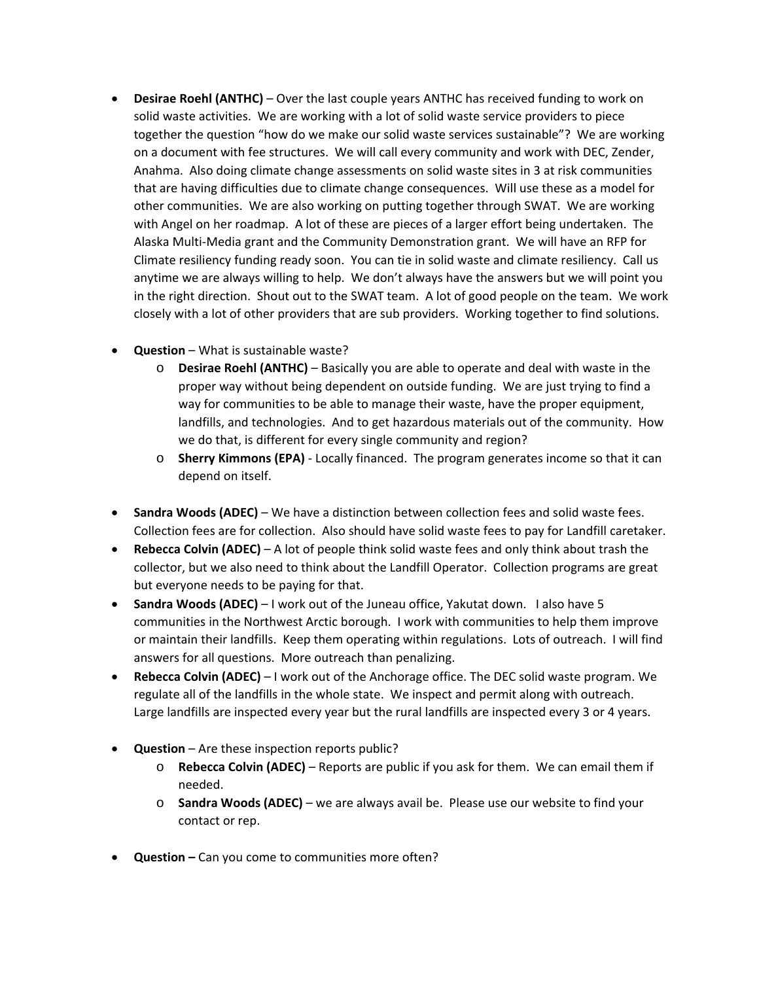- **Desirae Roehl (ANTHC)** Over the last couple years ANTHC has received funding to work on solid waste activities. We are working with a lot of solid waste service providers to piece together the question "how do we make our solid waste services sustainable"? We are working on a document with fee structures. We will call every community and work with DEC, Zender, Anahma. Also doing climate change assessments on solid waste sites in 3 at risk communities that are having difficulties due to climate change consequences. Will use these as a model for other communities. We are also working on putting together through SWAT. We are working with Angel on her roadmap. A lot of these are pieces of a larger effort being undertaken. The Alaska Multi‐Media grant and the Community Demonstration grant. We will have an RFP for Climate resiliency funding ready soon. You can tie in solid waste and climate resiliency. Call us anytime we are always willing to help. We don't always have the answers but we will point you in the right direction. Shout out to the SWAT team. A lot of good people on the team. We work closely with a lot of other providers that are sub providers. Working together to find solutions.
- **Question** What is sustainable waste?
	- o **Desirae Roehl (ANTHC)** Basically you are able to operate and deal with waste in the proper way without being dependent on outside funding. We are just trying to find a way for communities to be able to manage their waste, have the proper equipment, landfills, and technologies. And to get hazardous materials out of the community. How we do that, is different for every single community and region?
	- o **Sherry Kimmons (EPA)** ‐ Locally financed. The program generates income so that it can depend on itself.
- **Sandra Woods (ADEC)** We have a distinction between collection fees and solid waste fees. Collection fees are for collection. Also should have solid waste fees to pay for Landfill caretaker.
- **Rebecca Colvin (ADEC)** A lot of people think solid waste fees and only think about trash the collector, but we also need to think about the Landfill Operator. Collection programs are great but everyone needs to be paying for that.
- **Sandra Woods (ADEC)** I work out of the Juneau office, Yakutat down. I also have 5 communities in the Northwest Arctic borough. I work with communities to help them improve or maintain their landfills. Keep them operating within regulations. Lots of outreach. I will find answers for all questions. More outreach than penalizing.
- **Rebecca Colvin (ADEC)** I work out of the Anchorage office. The DEC solid waste program. We regulate all of the landfills in the whole state. We inspect and permit along with outreach. Large landfills are inspected every year but the rural landfills are inspected every 3 or 4 years.
- **Question** Are these inspection reports public?
	- o **Rebecca Colvin (ADEC)** Reports are public if you ask for them. We can email them if needed.
	- o **Sandra Woods (ADEC)** we are always avail be. Please use our website to find your contact or rep.
- **Question –** Can you come to communities more often?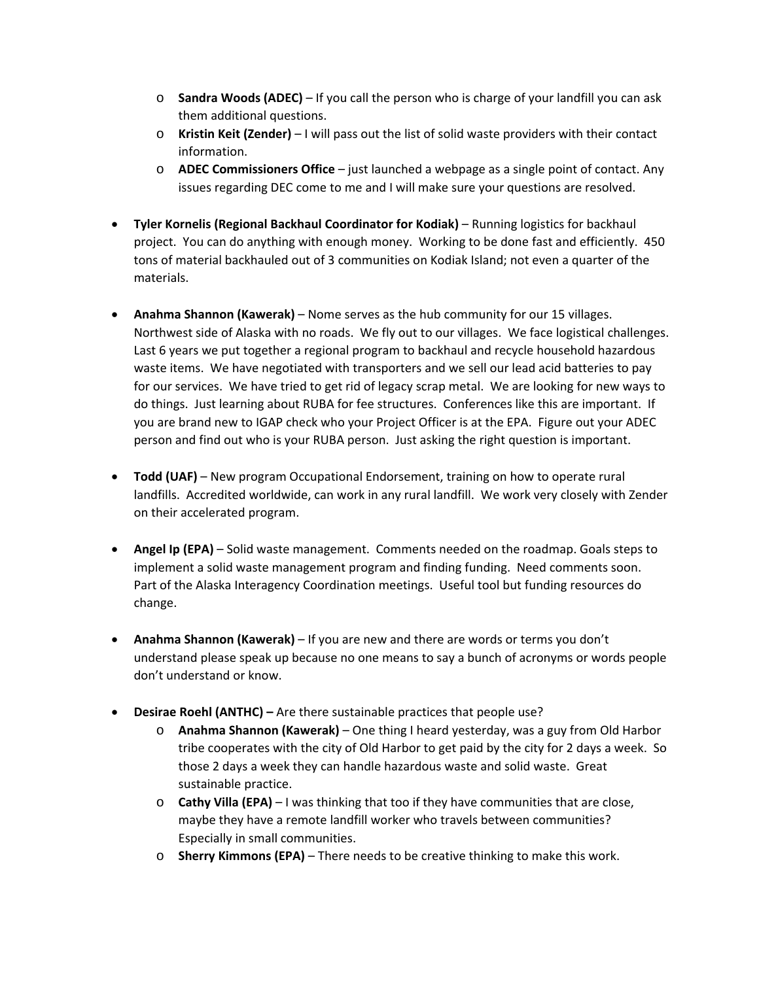- o **Sandra Woods (ADEC)** If you call the person who is charge of your landfill you can ask them additional questions.
- o **Kristin Keit (Zender)** I will pass out the list of solid waste providers with their contact information.
- o **ADEC Commissioners Office** just launched a webpage as a single point of contact. Any issues regarding DEC come to me and I will make sure your questions are resolved.
- **Tyler Kornelis (Regional Backhaul Coordinator for Kodiak)** Running logistics for backhaul project. You can do anything with enough money. Working to be done fast and efficiently. 450 tons of material backhauled out of 3 communities on Kodiak Island; not even a quarter of the materials.
- **Anahma Shannon (Kawerak)** Nome serves as the hub community for our 15 villages. Northwest side of Alaska with no roads. We fly out to our villages. We face logistical challenges. Last 6 years we put together a regional program to backhaul and recycle household hazardous waste items. We have negotiated with transporters and we sell our lead acid batteries to pay for our services. We have tried to get rid of legacy scrap metal. We are looking for new ways to do things. Just learning about RUBA for fee structures. Conferences like this are important. If you are brand new to IGAP check who your Project Officer is at the EPA. Figure out your ADEC person and find out who is your RUBA person. Just asking the right question is important.
- **Todd (UAF)** New program Occupational Endorsement, training on how to operate rural landfills. Accredited worldwide, can work in any rural landfill. We work very closely with Zender on their accelerated program.
- **Angel Ip (EPA)** Solid waste management. Comments needed on the roadmap. Goals steps to implement a solid waste management program and finding funding. Need comments soon. Part of the Alaska Interagency Coordination meetings. Useful tool but funding resources do change.
- **Anahma Shannon (Kawerak)** If you are new and there are words or terms you don't understand please speak up because no one means to say a bunch of acronyms or words people don't understand or know.
- **Desirae Roehl (ANTHC) –** Are there sustainable practices that people use?
	- o **Anahma Shannon (Kawerak)** One thing I heard yesterday, was a guy from Old Harbor tribe cooperates with the city of Old Harbor to get paid by the city for 2 days a week. So those 2 days a week they can handle hazardous waste and solid waste. Great sustainable practice.
	- o **Cathy Villa (EPA)** I was thinking that too if they have communities that are close, maybe they have a remote landfill worker who travels between communities? Especially in small communities.
	- o **Sherry Kimmons (EPA)** There needs to be creative thinking to make this work.